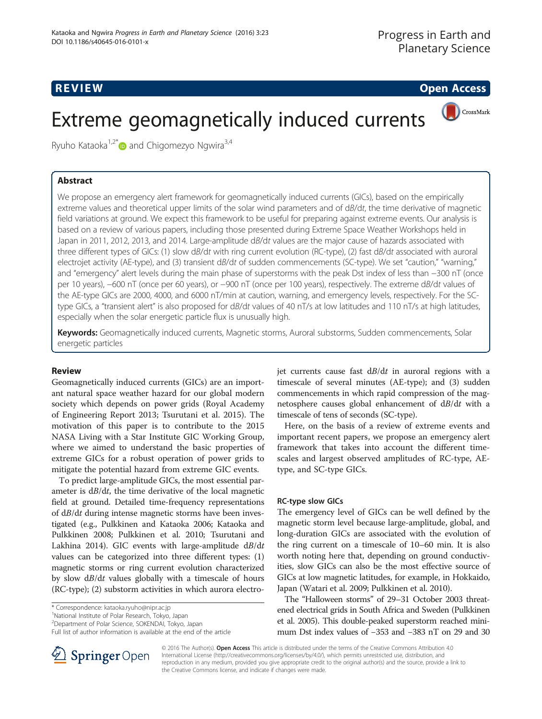# Extreme geomagnetically induced currents



Ryuho Kataoka<sup>1,2[\\*](http://orcid.org/0000-0001-9400-1765)</sup> and Chigomezyo Ngwira<sup>3,4</sup>

We propose an emergency alert framework for geomagnetically induced currents (GICs), based on the empirically extreme values and theoretical upper limits of the solar wind parameters and of dB/dt, the time derivative of magnetic field variations at ground. We expect this framework to be useful for preparing against extreme events. Our analysis is based on a review of various papers, including those presented during Extreme Space Weather Workshops held in Japan in 2011, 2012, 2013, and 2014. Large-amplitude dB/dt values are the major cause of hazards associated with three different types of GICs: (1) slow dB/dt with ring current evolution (RC-type), (2) fast dB/dt associated with auroral electrojet activity (AE-type), and (3) transient dB/dt of sudden commencements (SC-type). We set "caution," "warning," and "emergency" alert levels during the main phase of superstorms with the peak Dst index of less than −300 nT (once per 10 years), −600 nT (once per 60 years), or −900 nT (once per 100 years), respectively. The extreme dB/dt values of the AE-type GICs are 2000, 4000, and 6000 nT/min at caution, warning, and emergency levels, respectively. For the SCtype GICs, a "transient alert" is also proposed for dB/dt values of 40 nT/s at low latitudes and 110 nT/s at high latitudes, especially when the solar energetic particle flux is unusually high.

Keywords: Geomagnetically induced currents, Magnetic storms, Auroral substorms, Sudden commencements, Solar energetic particles

# **Review**

Geomagnetically induced currents (GICs) are an important natural space weather hazard for our global modern society which depends on power grids (Royal Academy of Engineering Report [2013](#page-5-0); Tsurutani et al. [2015](#page-6-0)). The motivation of this paper is to contribute to the 2015 NASA Living with a Star Institute GIC Working Group, where we aimed to understand the basic properties of extreme GICs for a robust operation of power grids to mitigate the potential hazard from extreme GIC events.

To predict large-amplitude GICs, the most essential parameter is  $d\vec{B}/dt$ , the time derivative of the local magnetic field at ground. Detailed time-frequency representations of dB/dt during intense magnetic storms have been investigated (e.g., Pulkkinen and Kataoka [2006;](#page-5-0) Kataoka and Pulkkinen [2008](#page-5-0); Pulkkinen et al. [2010](#page-5-0); Tsurutani and Lakhina [2014](#page-6-0)). GIC events with large-amplitude  $dB/dt$ values can be categorized into three different types: (1) magnetic storms or ring current evolution characterized by slow dB/dt values globally with a timescale of hours (RC-type); (2) substorm activities in which aurora electrojet currents cause fast  $dB/dt$  in auroral regions with a timescale of several minutes (AE-type); and (3) sudden commencements in which rapid compression of the magnetosphere causes global enhancement of dB/dt with a timescale of tens of seconds (SC-type).

Here, on the basis of a review of extreme events and important recent papers, we propose an emergency alert framework that takes into account the different timescales and largest observed amplitudes of RC-type, AEtype, and SC-type GICs.

# RC-type slow GICs

The emergency level of GICs can be well defined by the magnetic storm level because large-amplitude, global, and long-duration GICs are associated with the evolution of the ring current on a timescale of 10–60 min. It is also worth noting here that, depending on ground conductivities, slow GICs can also be the most effective source of GICs at low magnetic latitudes, for example, in Hokkaido, Japan (Watari et al. [2009](#page-6-0); Pulkkinen et al. [2010\)](#page-5-0).

The "Halloween storms" of 29–31 October 2003 threatened electrical grids in South Africa and Sweden (Pulkkinen et al. [2005](#page-5-0)). This double-peaked superstorm reached minimum Dst index values of −353 and −383 nT on 29 and 30



© 2016 The Author(s). Open Access This article is distributed under the terms of the Creative Commons Attribution 4.0 International License ([http://creativecommons.org/licenses/by/4.0/\)](http://creativecommons.org/licenses/by/4.0/), which permits unrestricted use, distribution, and reproduction in any medium, provided you give appropriate credit to the original author(s) and the source, provide a link to the Creative Commons license, and indicate if changes were made.

<sup>\*</sup> Correspondence: [kataoka.ryuho@nipr.ac.jp](mailto:kataoka.ryuho@nipr.ac.jp) <sup>1</sup>

<sup>&</sup>lt;sup>1</sup>National Institute of Polar Research, Tokyo, Japan

<sup>2</sup> Department of Polar Science, SOKENDAI, Tokyo, Japan

Full list of author information is available at the end of the article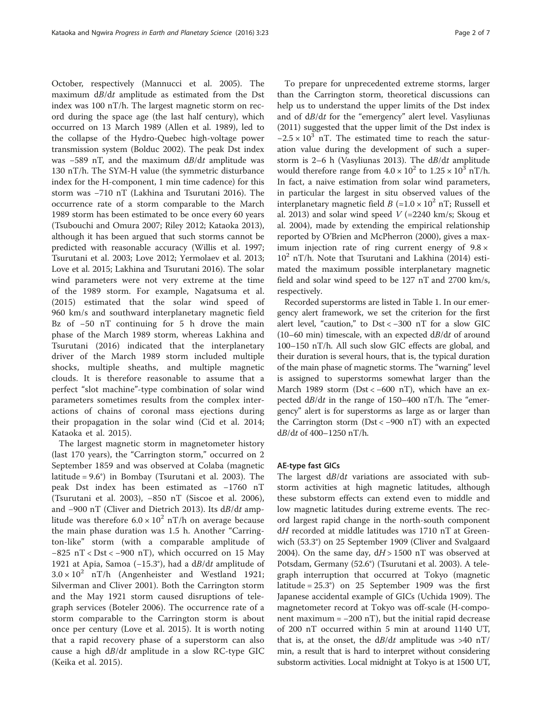October, respectively (Mannucci et al. [2005\)](#page-5-0). The maximum dB/dt amplitude as estimated from the Dst index was 100 nT/h. The largest magnetic storm on record during the space age (the last half century), which occurred on 13 March 1989 (Allen et al. [1989](#page-5-0)), led to the collapse of the Hydro-Quebec high-voltage power transmission system (Bolduc [2002\)](#page-5-0). The peak Dst index was  $-589$  nT, and the maximum  $dB/dt$  amplitude was 130 nT/h. The SYM-H value (the symmetric disturbance index for the H-component, 1 min time cadence) for this storm was −710 nT (Lakhina and Tsurutani [2016](#page-5-0)). The occurrence rate of a storm comparable to the March 1989 storm has been estimated to be once every 60 years (Tsubouchi and Omura [2007](#page-6-0); Riley [2012](#page-5-0); Kataoka [2013](#page-5-0)), although it has been argued that such storms cannot be predicted with reasonable accuracy (Willis et al. [1997](#page-6-0); Tsurutani et al. [2003](#page-6-0); Love [2012;](#page-5-0) Yermolaev et al. [2013](#page-6-0); Love et al. [2015](#page-5-0); Lakhina and Tsurutani [2016\)](#page-5-0). The solar wind parameters were not very extreme at the time of the 1989 storm. For example, Nagatsuma et al. ([2015\)](#page-5-0) estimated that the solar wind speed of 960 km/s and southward interplanetary magnetic field Bz of −50 nT continuing for 5 h drove the main phase of the March 1989 storm, whereas Lakhina and Tsurutani [\(2016](#page-5-0)) indicated that the interplanetary driver of the March 1989 storm included multiple shocks, multiple sheaths, and multiple magnetic clouds. It is therefore reasonable to assume that a perfect "slot machine"-type combination of solar wind parameters sometimes results from the complex interactions of chains of coronal mass ejections during their propagation in the solar wind (Cid et al. [2014](#page-5-0); Kataoka et al. [2015](#page-5-0)).

The largest magnetic storm in magnetometer history (last 170 years), the "Carrington storm," occurred on 2 September 1859 and was observed at Colaba (magnetic latitude = 9.6°) in Bombay (Tsurutani et al. [2003](#page-6-0)). The peak Dst index has been estimated as −1760 nT (Tsurutani et al. [2003\)](#page-6-0), −850 nT (Siscoe et al. [2006](#page-5-0)), and −900 nT (Cliver and Dietrich [2013](#page-5-0)). Its dB/dt amplitude was therefore  $6.0 \times 10^2$  nT/h on average because the main phase duration was 1.5 h. Another "Carrington-like" storm (with a comparable amplitude of  $-825$  nT < Dst <  $-900$  nT), which occurred on 15 May 1921 at Apia, Samoa (−15.3°), had a dB/dt amplitude of  $3.0 \times 10^2$  nT/h (Angenheister and Westland [1921](#page-5-0); Silverman and Cliver [2001\)](#page-5-0). Both the Carrington storm and the May 1921 storm caused disruptions of telegraph services (Boteler [2006](#page-5-0)). The occurrence rate of a storm comparable to the Carrington storm is about once per century (Love et al. [2015\)](#page-5-0). It is worth noting that a rapid recovery phase of a superstorm can also cause a high  $dB/dt$  amplitude in a slow RC-type GIC (Keika et al. [2015](#page-5-0)).

To prepare for unprecedented extreme storms, larger than the Carrington storm, theoretical discussions can help us to understand the upper limits of the Dst index and of dB/dt for the "emergency" alert level. Vasyliunas ([2011\)](#page-6-0) suggested that the upper limit of the Dst index is  $-2.5 \times 10^3$  nT. The estimated time to reach the saturation value during the development of such a super-storm is 2–6 h (Vasyliunas [2013](#page-6-0)). The  $dB/dt$  amplitude would therefore range from  $4.0 \times 10^2$  to  $1.25 \times 10^3$  nT/h. In fact, a naive estimation from solar wind parameters, in particular the largest in situ observed values of the interplanetary magnetic field  $B = 1.0 \times 10^2$  nT; Russell et al. [2013\)](#page-5-0) and solar wind speed  $V$  (=2240 km/s; Skoug et al. [2004\)](#page-6-0), made by extending the empirical relationship reported by O'Brien and McPherron ([2000](#page-5-0)), gives a maximum injection rate of ring current energy of  $9.8 \times$  $10^2$  nT/h. Note that Tsurutani and Lakhina [\(2014](#page-6-0)) estimated the maximum possible interplanetary magnetic field and solar wind speed to be 127 nT and 2700 km/s, respectively.

Recorded superstorms are listed in Table [1.](#page-2-0) In our emergency alert framework, we set the criterion for the first alert level, "caution," to Dst < −300 nT for a slow GIC  $(10-60 \text{ min})$  timescale, with an expected  $dB/dt$  of around 100–150 nT/h. All such slow GIC effects are global, and their duration is several hours, that is, the typical duration of the main phase of magnetic storms. The "warning" level is assigned to superstorms somewhat larger than the March 1989 storm (Dst < −600 nT), which have an expected  $dB/dt$  in the range of 150–400 nT/h. The "emergency" alert is for superstorms as large as or larger than the Carrington storm (Dst < −900 nT) with an expected  $dB/dt$  of 400–1250 nT/h.

# AE-type fast GICs

The largest  $dB/dt$  variations are associated with substorm activities at high magnetic latitudes, although these substorm effects can extend even to middle and low magnetic latitudes during extreme events. The record largest rapid change in the north-south component dH recorded at middle latitudes was 1710 nT at Greenwich (53.3°) on 25 September 1909 (Cliver and Svalgaard [2004](#page-5-0)). On the same day,  $dH > 1500$  nT was observed at Potsdam, Germany (52.6°) (Tsurutani et al. [2003](#page-6-0)). A telegraph interruption that occurred at Tokyo (magnetic latitude = 25.3°) on 25 September 1909 was the first Japanese accidental example of GICs (Uchida [1909\)](#page-6-0). The magnetometer record at Tokyo was off-scale (H-component maximum =  $-200$  nT), but the initial rapid decrease of 200 nT occurred within 5 min at around 1140 UT, that is, at the onset, the  $dB/dt$  amplitude was >40 nT/ min, a result that is hard to interpret without considering substorm activities. Local midnight at Tokyo is at 1500 UT,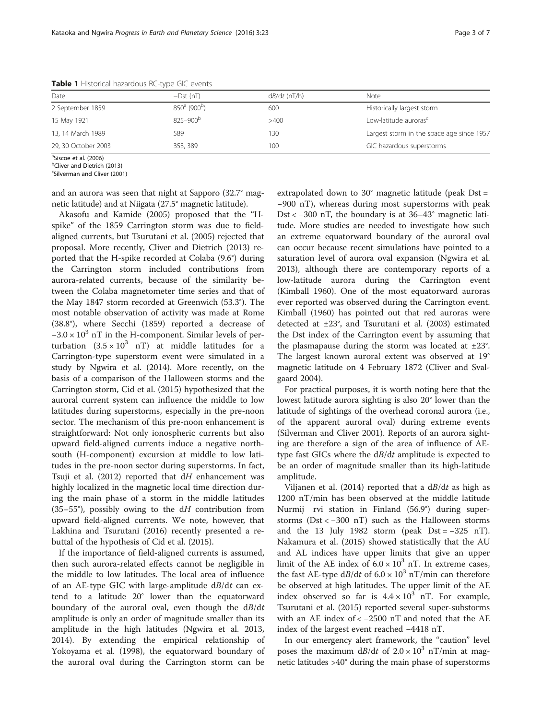| Date                | $-Dst(nT)$                  | $dB/dt$ (nT/h) | Note                                      |  |
|---------------------|-----------------------------|----------------|-------------------------------------------|--|
| 2 September 1859    | $850^a$ (900 <sup>b</sup> ) | 600            | Historically largest storm                |  |
| 15 May 1921         | $825 - 900^{b}$             | >400           | Low-latitude auroras <sup>c</sup>         |  |
| 13, 14 March 1989   | 589                         | 30             | Largest storm in the space age since 1957 |  |
| 29, 30 October 2003 | 353, 389                    | 100            | GIC hazardous superstorms                 |  |

<span id="page-2-0"></span>Table 1 Historical hazardous RC-type GIC events

<sup>a</sup>Siscoe et al. ([2006](#page-5-0))<br><sup>b</sup>Cliver and Dietrich

<sup>b</sup>Cliver and Dietrich [\(2013\)](#page-5-0)

Silverman and Cliver ([2001\)](#page-5-0)

and an aurora was seen that night at Sapporo (32.7° magnetic latitude) and at Niigata (27.5° magnetic latitude).

Akasofu and Kamide [\(2005\)](#page-5-0) proposed that the "Hspike" of the 1859 Carrington storm was due to fieldaligned currents, but Tsurutani et al. [\(2005\)](#page-6-0) rejected that proposal. More recently, Cliver and Dietrich ([2013\)](#page-5-0) reported that the H-spike recorded at Colaba (9.6°) during the Carrington storm included contributions from aurora-related currents, because of the similarity between the Colaba magnetometer time series and that of the May 1847 storm recorded at Greenwich (53.3°). The most notable observation of activity was made at Rome (38.8°), where Secchi ([1859\)](#page-5-0) reported a decrease of  $-3.0 \times 10^3$  nT in the H-component. Similar levels of perturbation  $(3.5 \times 10^3 \text{ nT})$  at middle latitudes for a Carrington-type superstorm event were simulated in a study by Ngwira et al. ([2014\)](#page-5-0). More recently, on the basis of a comparison of the Halloween storms and the Carrington storm, Cid et al. ([2015](#page-5-0)) hypothesized that the auroral current system can influence the middle to low latitudes during superstorms, especially in the pre-noon sector. The mechanism of this pre-noon enhancement is straightforward: Not only ionospheric currents but also upward field-aligned currents induce a negative northsouth (H-component) excursion at middle to low latitudes in the pre-noon sector during superstorms. In fact, Tsuji et al.  $(2012)$  $(2012)$  $(2012)$  reported that dH enhancement was highly localized in the magnetic local time direction during the main phase of a storm in the middle latitudes (35–55°), possibly owing to the  $dH$  contribution from upward field-aligned currents. We note, however, that Lakhina and Tsurutani ([2016\)](#page-5-0) recently presented a rebuttal of the hypothesis of Cid et al. [\(2015\)](#page-5-0).

If the importance of field-aligned currents is assumed, then such aurora-related effects cannot be negligible in the middle to low latitudes. The local area of influence of an AE-type GIC with large-amplitude  $dB/dt$  can extend to a latitude 20° lower than the equatorward boundary of the auroral oval, even though the  $dB/dt$ amplitude is only an order of magnitude smaller than its amplitude in the high latitudes (Ngwira et al. [2013](#page-5-0), [2014](#page-5-0)). By extending the empirical relationship of Yokoyama et al. [\(1998\)](#page-6-0), the equatorward boundary of the auroral oval during the Carrington storm can be

extrapolated down to 30° magnetic latitude (peak Dst = −900 nT), whereas during most superstorms with peak Dst < −300 nT, the boundary is at 36–43° magnetic latitude. More studies are needed to investigate how such an extreme equatorward boundary of the auroral oval can occur because recent simulations have pointed to a saturation level of aurora oval expansion (Ngwira et al. [2013](#page-5-0)), although there are contemporary reports of a low-latitude aurora during the Carrington event (Kimball [1960](#page-5-0)). One of the most equatorward auroras ever reported was observed during the Carrington event. Kimball ([1960](#page-5-0)) has pointed out that red auroras were detected at ±23°, and Tsurutani et al. [\(2003\)](#page-6-0) estimated the Dst index of the Carrington event by assuming that the plasmapause during the storm was located at  $\pm 23^\circ$ . The largest known auroral extent was observed at 19° magnetic latitude on 4 February 1872 (Cliver and Svalgaard [2004\)](#page-5-0).

For practical purposes, it is worth noting here that the lowest latitude aurora sighting is also 20° lower than the latitude of sightings of the overhead coronal aurora (i.e., of the apparent auroral oval) during extreme events (Silverman and Cliver [2001\)](#page-5-0). Reports of an aurora sighting are therefore a sign of the area of influence of AEtype fast GICs where the  $dB/dt$  amplitude is expected to be an order of magnitude smaller than its high-latitude amplitude.

Viljanen et al. [\(2014](#page-6-0)) reported that a  $dB/dt$  as high as 1200 nT/min has been observed at the middle latitude Nurmij rvi station in Finland (56.9°) during superstorms (Dst < −300 nT) such as the Halloween storms and the 13 July 1982 storm (peak  $Dst = -325 nT$ ). Nakamura et al. ([2015](#page-5-0)) showed statistically that the AU and AL indices have upper limits that give an upper limit of the AE index of  $6.0 \times 10^3$  nT. In extreme cases, the fast AE-type  $dB/dt$  of  $6.0 \times 10^3$  nT/min can therefore be observed at high latitudes. The upper limit of the AE index observed so far is  $4.4 \times 10^3$  nT. For example, Tsurutani et al. ([2015](#page-6-0)) reported several super-substorms with an AE index of < −2500 nT and noted that the AE index of the largest event reached −4418 nT.

In our emergency alert framework, the "caution" level poses the maximum  $dB/dt$  of  $2.0 \times 10^3$  nT/min at magnetic latitudes >40° during the main phase of superstorms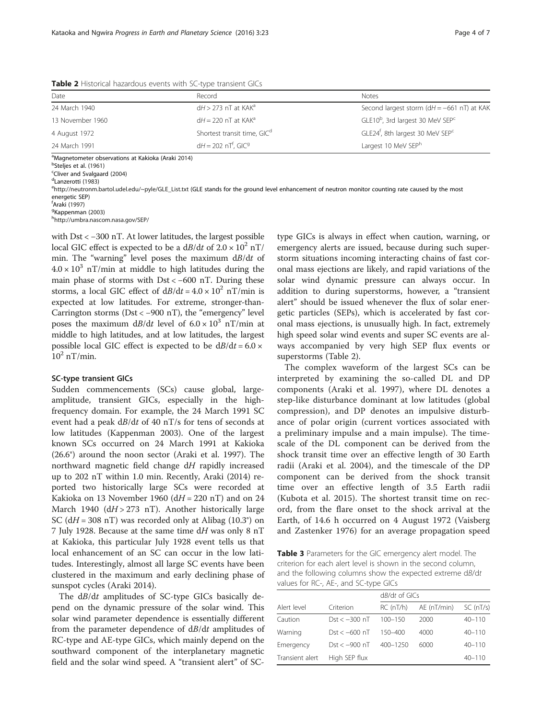| Date                                                           | Record                                                                                              | <b>Notes</b>                                             |  |
|----------------------------------------------------------------|-----------------------------------------------------------------------------------------------------|----------------------------------------------------------|--|
| 24 March 1940                                                  | $dH$ > 273 nT at KAK <sup>a</sup>                                                                   | Second largest storm ( $dH = -661$ nT) at KAK            |  |
| 13 November 1960                                               | $dH = 220$ nT at KAK <sup>a</sup>                                                                   | GLE10 <sup>b</sup> , 3rd largest 30 MeV SEP <sup>c</sup> |  |
| 4 August 1972                                                  | GLE24 <sup>f</sup> , 8th largest 30 MeV SEP <sup>c</sup><br>Shortest transit time, GIC <sup>d</sup> |                                                          |  |
| $dH = 202$ nT <sup>f</sup> , GIC <sup>9</sup><br>24 March 1991 |                                                                                                     | Largest 10 MeV SEPh                                      |  |
|                                                                |                                                                                                     |                                                          |  |

<span id="page-3-0"></span>Table 2 Historical hazardous events with SC-type transient GICs

<sup>a</sup>Magnetometer observations at Kakioka (Araki [2014\)](#page-5-0)<br><sup>b</sup>Stelies et al. (1961)

<sup>b</sup>Steljes et al. ([1961](#page-6-0))

<sup>c</sup>Cliver and Svalgaard [\(2004\)](#page-5-0)

<sup>d</sup>Lanzerotti ([1983](#page-5-0))

[http://neutronm.bartol.udel.edu/~pyle/GLE\\_List.txt](http://neutronm.bartol.udel.edu/~pyle/GLE_List.txt) (GLE stands for the ground level enhancement of neutron monitor counting rate caused by the most energetic SEP)

f<br><sup>f</sup>Araki [\(1997](#page-5-0))<br><sup>g</sup>Kannenmar

<sup>g</sup>Kappenman [\(2003](#page-5-0))

<http://umbra.nascom.nasa.gov/SEP/>

with Dst < −300 nT. At lower latitudes, the largest possible local GIC effect is expected to be a  $dB/dt$  of  $2.0 \times 10^2$  nT/ min. The "warning" level poses the maximum  $dB/dt$  of  $4.0 \times 10^3$  nT/min at middle to high latitudes during the main phase of storms with  $Dst < -600$  nT. During these storms, a local GIC effect of  $dB/dt = 4.0 \times 10^2$  nT/min is expected at low latitudes. For extreme, stronger-than-Carrington storms (Dst < −900 nT), the "emergency" level poses the maximum  $dB/dt$  level of  $6.0 \times 10^3$  nT/min at middle to high latitudes, and at low latitudes, the largest possible local GIC effect is expected to be  $dB/dt = 6.0 \times$  $10^2$  nT/min.

## SC-type transient GICs

Sudden commencements (SCs) cause global, largeamplitude, transient GICs, especially in the highfrequency domain. For example, the 24 March 1991 SC event had a peak dB/dt of 40 nT/s for tens of seconds at low latitudes (Kappenman [2003\)](#page-5-0). One of the largest known SCs occurred on 24 March 1991 at Kakioka (26.6°) around the noon sector (Araki et al. [1997\)](#page-5-0). The northward magnetic field change dH rapidly increased up to 202 nT within 1.0 min. Recently, Araki ([2014](#page-5-0)) reported two historically large SCs were recorded at Kakioka on 13 November 1960 ( $dH = 220$  nT) and on 24 March 1940 ( $dH > 273$  nT). Another historically large SC ( $dH = 308$  nT) was recorded only at Alibag (10.3°) on 7 July 1928. Because at the same time  $dH$  was only 8 nT at Kakioka, this particular July 1928 event tells us that local enhancement of an SC can occur in the low latitudes. Interestingly, almost all large SC events have been clustered in the maximum and early declining phase of sunspot cycles (Araki [2014\)](#page-5-0).

The  $dB/dt$  amplitudes of SC-type GICs basically depend on the dynamic pressure of the solar wind. This solar wind parameter dependence is essentially different from the parameter dependence of  $dB/dt$  amplitudes of RC-type and AE-type GICs, which mainly depend on the southward component of the interplanetary magnetic field and the solar wind speed. A "transient alert" of SC- type GICs is always in effect when caution, warning, or emergency alerts are issued, because during such superstorm situations incoming interacting chains of fast coronal mass ejections are likely, and rapid variations of the solar wind dynamic pressure can always occur. In addition to during superstorms, however, a "transient alert" should be issued whenever the flux of solar energetic particles (SEPs), which is accelerated by fast coronal mass ejections, is unusually high. In fact, extremely high speed solar wind events and super SC events are always accompanied by very high SEP flux events or superstorms (Table 2).

The complex waveform of the largest SCs can be interpreted by examining the so-called DL and DP components (Araki et al. [1997\)](#page-5-0), where DL denotes a step-like disturbance dominant at low latitudes (global compression), and DP denotes an impulsive disturbance of polar origin (current vortices associated with a preliminary impulse and a main impulse). The timescale of the DL component can be derived from the shock transit time over an effective length of 30 Earth radii (Araki et al. [2004\)](#page-5-0), and the timescale of the DP component can be derived from the shock transit time over an effective length of 3.5 Earth radii (Kubota et al. [2015](#page-5-0)). The shortest transit time on record, from the flare onset to the shock arrival at the Earth, of 14.6 h occurred on 4 August 1972 (Vaisberg and Zastenker [1976](#page-6-0)) for an average propagation speed

Table 3 Parameters for the GIC emergency alert model. The criterion for each alert level is shown in the second column, and the following columns show the expected extreme dB/dt values for RC-, AE-, and SC-type GICs

| Alert level     | Criterion       | $dB/dt$ of GICs |             |            |
|-----------------|-----------------|-----------------|-------------|------------|
|                 |                 | RC(nT/h)        | AE (nT/min) | SC(nT/s)   |
| Caution         | $Dst < -300$ nT | $100 - 150$     | 2000        | $40 - 110$ |
| Warning         | $Dst < -600$ nT | $150 - 400$     | 4000        | $40 - 110$ |
| Emergency       | $Dst < -900$ nT | $400 - 1250$    | 6000        | $40 - 110$ |
| Transient alert | High SEP flux   |                 |             | $40 - 110$ |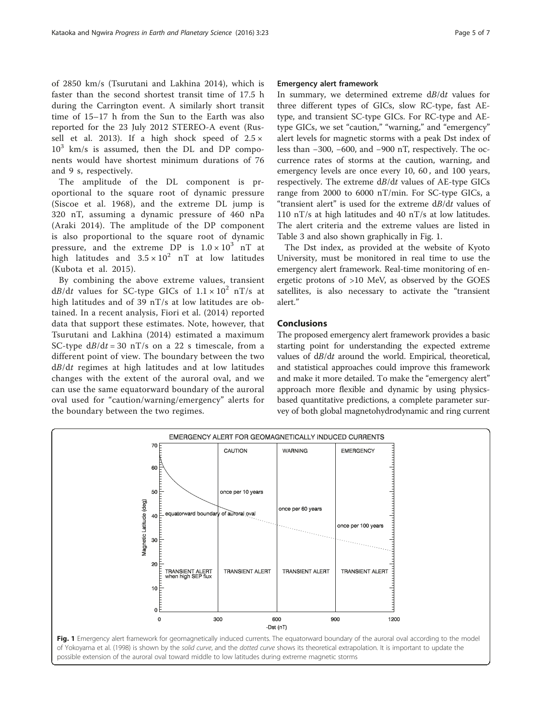of 2850 km/s (Tsurutani and Lakhina [2014\)](#page-6-0), which is faster than the second shortest transit time of 17.5 h during the Carrington event. A similarly short transit time of 15–17 h from the Sun to the Earth was also reported for the 23 July 2012 STEREO-A event (Rus-sell et al. [2013\)](#page-5-0). If a high shock speed of  $2.5 \times$  $10^3$  km/s is assumed, then the DL and DP components would have shortest minimum durations of 76 and 9 s, respectively.

The amplitude of the DL component is proportional to the square root of dynamic pressure (Siscoe et al. [1968\)](#page-5-0), and the extreme DL jump is 320 nT, assuming a dynamic pressure of 460 nPa (Araki [2014](#page-5-0)). The amplitude of the DP component is also proportional to the square root of dynamic pressure, and the extreme DP is  $1.0 \times 10^3$  nT at high latitudes and  $3.5 \times 10^2$  nT at low latitudes (Kubota et al. [2015\)](#page-5-0).

By combining the above extreme values, transient  $dB/dt$  values for SC-type GICs of  $1.1 \times 10^2$  nT/s at high latitudes and of 39 nT/s at low latitudes are obtained. In a recent analysis, Fiori et al. [\(2014\)](#page-5-0) reported data that support these estimates. Note, however, that Tsurutani and Lakhina ([2014\)](#page-6-0) estimated a maximum SC-type  $dB/dt = 30$  nT/s on a 22 s timescale, from a different point of view. The boundary between the two dB/dt regimes at high latitudes and at low latitudes changes with the extent of the auroral oval, and we can use the same equatorward boundary of the auroral oval used for "caution/warning/emergency" alerts for the boundary between the two regimes.

# Emergency alert framework

In summary, we determined extreme dB/dt values for three different types of GICs, slow RC-type, fast AEtype, and transient SC-type GICs. For RC-type and AEtype GICs, we set "caution," "warning," and "emergency" alert levels for magnetic storms with a peak Dst index of less than −300, −600, and −900 nT, respectively. The occurrence rates of storms at the caution, warning, and emergency levels are once every 10, 60 , and 100 years, respectively. The extreme dB/dt values of AE-type GICs range from 2000 to 6000 nT/min. For SC-type GICs, a "transient alert" is used for the extreme dB/dt values of 110 nT/s at high latitudes and 40 nT/s at low latitudes. The alert criteria and the extreme values are listed in Table [3](#page-3-0) and also shown graphically in Fig. 1.

The Dst index, as provided at the website of Kyoto University, must be monitored in real time to use the emergency alert framework. Real-time monitoring of energetic protons of >10 MeV, as observed by the GOES satellites, is also necessary to activate the "transient alert."

The proposed emergency alert framework provides a basic starting point for understanding the expected extreme values of dB/dt around the world. Empirical, theoretical, and statistical approaches could improve this framework and make it more detailed. To make the "emergency alert" approach more flexible and dynamic by using physicsbased quantitative predictions, a complete parameter survey of both global magnetohydrodynamic and ring current

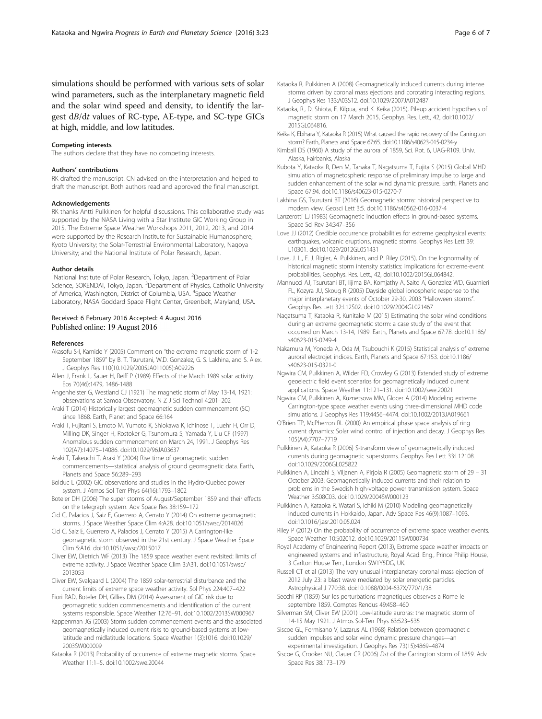<span id="page-5-0"></span>simulations should be performed with various sets of solar wind parameters, such as the interplanetary magnetic field and the solar wind speed and density, to identify the largest dB/dt values of RC-type, AE-type, and SC-type GICs at high, middle, and low latitudes.

### Competing interests

The authors declare that they have no competing interests.

### Authors' contributions

RK drafted the manuscript. CN advised on the interpretation and helped to draft the manuscript. Both authors read and approved the final manuscript.

### Acknowledgements

RK thanks Antti Pulkkinen for helpful discussions. This collaborative study was supported by the NASA Living with a Star Institute GIC Working Group in 2015. The Extreme Space Weather Workshops 2011, 2012, 2013, and 2014 were supported by the Research Institute for Sustainable Humanosphere, Kyoto University; the Solar-Terrestrial Environmental Laboratory, Nagoya University; and the National Institute of Polar Research, Japan.

### Author details

<sup>1</sup>National Institute of Polar Research, Tokyo, Japan. <sup>2</sup>Department of Polar Science, SOKENDAI, Tokyo, Japan. <sup>3</sup>Department of Physics, Catholic University of America, Washington, District of Columbia, USA. <sup>4</sup>Space Weather Laboratory, NASA Goddard Space Flight Center, Greenbelt, Maryland, USA.

# Received: 6 February 2016 Accepted: 4 August 2016 Published online: 19 August 2016

### References

- Akasofu S-I, Kamide Y (2005) Comment on "the extreme magnetic storm of 1-2 September 1859" by B. T. Tsurutani, W.D. Gonzalez, G. S. Lakhina, and S. Alex. J Geophys Res 110(10.1029/2005JA011005):A09226
- Allen J, Frank L, Sauer H, Reiff P (1989) Effects of the March 1989 solar activity. Eos 70(46):1479, 1486-1488
- Angenheister G, Westland CJ (1921) The magnetic storm of May 13-14, 1921: observations at Samoa Observatory. N Z J Sci Technol 4:201–202
- Araki T (2014) Historically largest geomagnetic sudden commencement (SC) since 1868. Earth, Planet and Space 66:164
- Araki T, Fujitani S, Emoto M, Yumoto K, Shiokawa K, Ichinose T, Luehr H, Orr D, Milling DK, Singer H, Rostoker G, Tsunomura S, Yamada Y, Liu CF (1997) Anomalous sudden commencement on March 24, 1991. J Geophys Res 102(A7):14075–14086. doi:[10.1029/96JA03637](http://dx.doi.org/10.1029/96JA03637)
- Araki T, Takeuchi T, Araki Y (2004) Rise time of geomagnetic sudden commencements—statistical analysis of ground geomagnetic data. Earth, Planets and Space 56:289–293
- Bolduc L (2002) GIC observations and studies in the Hydro-Quebec power system. J Atmos Sol Terr Phys 64(16):1793–1802
- Boteler DH (2006) The super storms of August/September 1859 and their effects on the telegraph system. Adv Space Res 38:159–172
- Cid C, Palacios J, Saiz E, Guerrero A, Cerrato Y (2014) On extreme geomagnetic storms. J Space Weather Space Clim 4:A28. doi:[10.1051/swsc/2014026](http://dx.doi.org/10.1051/swsc/2014026)
- Cid C, Saiz E, Guerrero A, Palacios J, Cerrato Y (2015) A Carrington-like geomagnetic storm observed in the 21st century. J Space Weather Space Clim 5:A16. doi:[10.1051/swsc/2015017](http://dx.doi.org/10.1051/swsc/2015017)
- Cliver EW, Dietrich WF (2013) The 1859 space weather event revisited: limits of extreme activity. J Space Weather Space Clim 3:A31. doi:[10.1051/swsc/](http://dx.doi.org/10.1051/swsc/2013053) [2013053](http://dx.doi.org/10.1051/swsc/2013053)
- Cliver EW, Svalgaard L (2004) The 1859 solar-terrestrial disturbance and the current limits of extreme space weather activity. Sol Phys 224:407–422
- Fiori RAD, Boteler DH, Gillies DM (2014) Assessment of GIC risk due to geomagnetic sudden commencements and identification of the current systems responsible. Space Weather 12:76–91. doi:[10.1002/2013SW000967](http://dx.doi.org/10.1002/2013SW000967)
- Kappenman JG (2003) Storm sudden commencement events and the associated geomagnetically induced current risks to ground-based systems at lowlatitude and midlatitude locations. Space Weather 1(3):1016. doi:[10.1029/](http://dx.doi.org/10.1029/2003SW000009) [2003SW000009](http://dx.doi.org/10.1029/2003SW000009)
- Kataoka R (2013) Probability of occurrence of extreme magnetic storms. Space Weather 11:1–5. doi:[10.1002/swe.20044](http://dx.doi.org/10.1002/swe.20044)
- Kataoka R, Pulkkinen A (2008) Geomagnetically induced currents during intense storms driven by coronal mass ejections and corotating interacting regions. J Geophys Res 133:A03S12. doi[:10.1029/2007JA012487](http://dx.doi.org/10.1029/2007JA012487)
- Kataoka, R., D. Shiota, E. Kilpua, and K. Keika (2015), Pileup accident hypothesis of magnetic storm on 17 March 2015, Geophys. Res. Lett., 42, doi:10.1002/ 2015GL064816.
- Keika K, Ebihara Y, Kataoka R (2015) What caused the rapid recovery of the Carrington storm? Earth, Planets and Space 67:65. doi[:10.1186/s40623-015-0234-y](http://dx.doi.org/10.1186/s40623-015-0234-y)
- Kimball DS (1960) A study of the aurora of 1859, Sci. Rpt. 6, UAG-R109. Univ. Alaska, Fairbanks, Alaska
- Kubota Y, Kataoka R, Den M, Tanaka T, Nagatsuma T, Fujita S (2015) Global MHD simulation of magnetospheric response of preliminary impulse to large and sudden enhancement of the solar wind dynamic pressure. Earth, Planets and Space 67:94. doi[:10.1186/s40623-015-0270-7](http://dx.doi.org/10.1186/s40623-015-0270-7)
- Lakhina GS, Tsurutani BT (2016) Geomagnetic storms: historical perspective to modern view. Geosci Lett 3:5. doi:[10.1186/s40562-016-0037-4](http://dx.doi.org/10.1186/s40562-016-0037-4)
- Lanzerotti LJ (1983) Geomagnetic induction effects in ground-based systems. Space Sci Rev 34:347–356
- Love JJ (2012) Credible occurrence probabilities for extreme geophysical events: earthquakes, volcanic eruptions, magnetic storms. Geophys Res Lett 39: L10301. doi:[10.1029/2012GL051431](http://dx.doi.org/10.1029/2012GL051431)
- Love, J. L., E. J. Rigler, A. Pulkkinen, and P. Riley (2015), On the lognormality of historical magnetic storm intensity statistics: implications for extreme-event probabilities, Geophys. Res. Lett., 42, doi:10.1002/2015GL064842.
- Mannucci AJ, Tsurutani BT, Iijima BA, Komjathy A, Saito A, Gonzalez WD, Guarnieri FL, Kozyra JU, Skoug R (2005) Dayside global ionospheric response to the major interplanetary events of October 29-30, 2003 "Halloween storms". Geophys Res Lett 32:L12S02. doi[:10.1029/2004GL021467](http://dx.doi.org/10.1029/2004GL021467)
- Nagatsuma T, Kataoka R, Kunitake M (2015) Estimating the solar wind conditions during an extreme geomagnetic storm: a case study of the event that occurred on March 13-14, 1989. Earth, Planets and Space 67:78. doi[:10.1186/](http://dx.doi.org/10.1186/s40623-015-0249-4) [s40623-015-0249-4](http://dx.doi.org/10.1186/s40623-015-0249-4)
- Nakamura M, Yoneda A, Oda M, Tsubouchi K (2015) Statistical analysis of extreme auroral electrojet indices. Earth, Planets and Space 67:153. doi[:10.1186/](http://dx.doi.org/10.1186/s40623-015-0321-0) [s40623-015-0321-0](http://dx.doi.org/10.1186/s40623-015-0321-0)
- Ngwira CM, Pulkkinen A, Wilder FD, Crowley G (2013) Extended study of extreme geoelectric field event scenarios for geomagnetically induced current applications. Space Weather 11:121–131. doi:[10.1002/swe.20021](http://dx.doi.org/10.1002/swe.20021)
- Ngwira CM, Pulkkinen A, Kuznetsova MM, Glocer A (2014) Modeling extreme Carrington-type space weather events using three-dimensional MHD code simulations. J Geophys Res 119:4456–4474. doi[:10.1002/2013JA019661](http://dx.doi.org/10.1002/2013JA019661)
- O'Brien TP, McPherron RL (2000) An empirical phase space analysis of ring current dynamics: Solar wind control of injection and decay. J Geophys Res 105(A4):7707–7719
- Pulkkinen A, Kataoka R (2006) S-transform view of geomagnetically induced currents during geomagnetic superstorms. Geophys Res Lett 33:L12108. doi[:10.1029/2006GL025822](http://dx.doi.org/10.1029/2006GL025822)
- Pulkkinen A, Lindahl S, Viljanen A, Pirjola R (2005) Geomagnetic storm of 29 31 October 2003: Geomagnetically induced currents and their relation to problems in the Swedish high-voltage power transmission system. Space Weather 3:S08C03. doi:[10.1029/2004SW000123](http://dx.doi.org/10.1029/2004SW000123)
- Pulkkinen A, Kataoka R, Watari S, Ichiki M (2010) Modeling geomagnetically induced currents in Hokkaido, Japan. Adv Space Res 46(9):1087–1093. doi[:10.1016/j.asr.2010.05.024](http://dx.doi.org/10.1016/j.asr.2010.05.024)
- Riley P (2012) On the probability of occurrence of extreme space weather events. Space Weather 10:S02012. doi:[10.1029/2011SW000734](http://dx.doi.org/10.1029/2011SW000734)
- Royal Academy of Engineering Report (2013), Extreme space weather impacts on engineered systems and infrastructure, Royal Acad. Eng., Prince Philip House, 3 Carlton House Terr., London SW1Y5DG, UK.
- Russell CT et al (2013) The very unusual interplanetary coronal mass ejection of 2012 July 23: a blast wave mediated by solar energetic particles. Astrophysical J 770:38. doi:[10.1088/0004-637X/770/1/38](http://dx.doi.org/10.1088/0004-637X/770/1/38)
- Secchi RP (1859) Sur les perturbations magnetiques observes a Rome le septembre 1859. Comptes Rendus 49:458–460
- Silverman SM, Cliver EW (2001) Low-latitude auroras: the magnetic storm of 14-15 May 1921. J Atmos Sol-Terr Phys 63:523–535
- Siscoe GL, Formisano V, Lazarus AL (1968) Relation between geomagnetic sudden impulses and solar wind dynamic pressure changes—an experimental investigation. J Geophys Res 73(15):4869–4874
- Siscoe G, Crooker NU, Clauer CR (2006) Dst of the Carrington storm of 1859. Adv Space Res 38:173–179